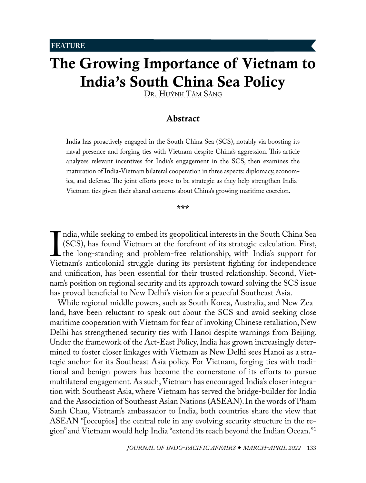<span id="page-0-1"></span>**FEATURE** 

# The Growing Importance of Vietnam to India's South China Sea Policy

[Dr. Huýnh Tâm Sáng](#page-12-0)

# <span id="page-0-0"></span>Abstract

India has proactively engaged in the South China Sea (SCS), notably via boosting its naval presence and forging ties with Vietnam despite China's aggression. This article analyzes relevant incentives for India's engagement in the SCS, then examines the maturation of India-Vietnam bilateral cooperation in three aspects: diplomacy, economics, and defense. The joint efforts prove to be strategic as they help strengthen India-Vietnam ties given their shared concerns about China's growing maritime coercion.

\*\*\*

India, while seeking to embed its geopontical interests in the bouth China Bea<br>(SCS), has found Vietnam at the forefront of its strategic calculation. First,<br>the long-standing and problem-free relationship, with India's su ndia, while seeking to embed its geopolitical interests in the South China Sea (SCS), has found Vietnam at the forefront of its strategic calculation. First, the long-standing and problem-free relationship, with India's support for and unification, has been essential for their trusted relationship. Second, Vietnam's position on regional security and its approach toward solving the SCS issue has proved beneficial to New Delhi's vision for a peaceful Southeast Asia.

While regional middle powers, such as South Korea, Australia, and New Zealand, have been reluctant to speak out about the SCS and avoid seeking close maritime cooperation with Vietnam for fear of invoking Chinese retaliation, New Delhi has strengthened security ties with Hanoi despite warnings from Beijing. Under the framework of the Act-East Policy, India has grown increasingly determined to foster closer linkages with Vietnam as New Delhi sees Hanoi as a strategic anchor for its Southeast Asia policy. For Vietnam, forging ties with traditional and benign powers has become the cornerstone of its efforts to pursue multilateral engagement. As such, Vietnam has encouraged India's closer integration with Southeast Asia, where Vietnam has served the bridge-builder for India and the Association of Southeast Asian Nations (ASEAN). In the words of Pham Sanh Chau, Vietnam's ambassador to India, both countries share the view that ASEAN "[occupies] the central role in any evolving security structure in the region" and Vietnam would help India "extend its reach beyond the Indian Ocean."[1](#page-12-0)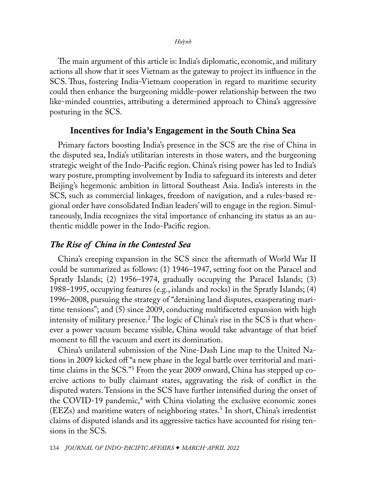<span id="page-1-0"></span>The main argument of this article is: India's diplomatic, economic, and military actions all show that it sees Vietnam as the gateway to project its influence in the SCS. Thus, fostering India-Vietnam cooperation in regard to maritime security could then enhance the burgeoning middle-power relationship between the two like-minded countries, attributing a determined approach to China's aggressive posturing in the SCS.

# Incentives for India's Engagement in the South China Sea

Primary factors boosting India's presence in the SCS are the rise of China in the disputed sea, India's utilitarian interests in those waters, and the burgeoning strategic weight of the Indo-Pacific region. China's rising power has led to India's wary posture, prompting involvement by India to safeguard its interests and deter Beijing's hegemonic ambition in littoral Southeast Asia. India's interests in the SCS, such as commercial linkages, freedom of navigation, and a rules-based regional order have consolidated Indian leaders' will to engage in the region. Simultaneously, India recognizes the vital importance of enhancing its status as an authentic middle power in the Indo-Pacific region.

# *The Rise of China in the Contested Sea*

China's creeping expansion in the SCS since the aftermath of World War II could be summarized as follows: (1) 1946–1947, setting foot on the Paracel and Spratly Islands; (2) 1956–1974, gradually occupying the Paracel Islands; (3) 1988–1995, occupying features (e.g., islands and rocks) in the Spratly Islands; (4) 1996–2008, pursuing the strategy of "detaining land disputes, exasperating maritime tensions"; and (5) since 2009, conducting multifaceted expansion with high intensity of military presence. $^2$  The logic of China's rise in the SCS is that whenever a power vacuum became visible, China would take advantage of that brief moment to fill the vacuum and exert its domination.

China's unilateral submission of the Nine-Dash Line map to the United Nations in 2009 kicked off "a new phase in the legal battle over territorial and maritime claims in the SCS."[3](#page-12-0) From the year 2009 onward, China has stepped up coercive actions to bully claimant states, aggravating the risk of conflict in the disputed waters. Tensions in the SCS have further intensified during the onset of the COVID-19 pandemic,<sup>4</sup> with China violating the exclusive economic zones (EEZs) and maritime waters of neighboring states.[5](#page-12-0) In short, China's irredentist claims of disputed islands and its aggressive tactics have accounted for rising tensions in the SCS.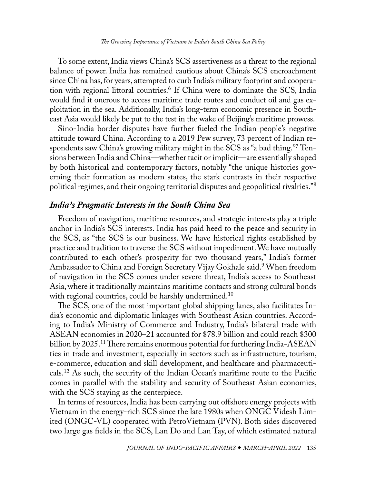<span id="page-2-0"></span>To some extent, India views China's SCS assertiveness as a threat to the regional balance of power. India has remained cautious about China's SCS encroachment since China has, for years, attempted to curb India's military footprint and cooperation with regional littoral countries[.6](#page-12-0) If China were to dominate the SCS, India would find it onerous to access maritime trade routes and conduct oil and gas exploitation in the sea. Additionally, India's long-term economic presence in Southeast Asia would likely be put to the test in the wake of Beijing's maritime prowess.

Sino-India border disputes have further fueled the Indian people's negative attitude toward China. According to a 2019 Pew survey, 73 percent of Indian respondents saw China's growing military might in the SCS as "a bad thing.["7](#page-13-0) Tensions between India and China—whether tacit or implicit—are essentially shaped by both historical and contemporary factors, notably "the unique histories governing their formation as modern states, the stark contrasts in their respective political regimes, and their ongoing territorial disputes and geopolitical rivalries."[8](#page-13-0)

## *India's Pragmatic Interests in the South China Sea*

Freedom of navigation, maritime resources, and strategic interests play a triple anchor in India's SCS interests. India has paid heed to the peace and security in the SCS, as "the SCS is our business. We have historical rights established by practice and tradition to traverse the SCS without impediment. We have mutually contributed to each other's prosperity for two thousand years," India's former Ambassador to China and Foreign Secretary Vijay Gokhale said.<sup>[9](#page-13-0)</sup> When freedom of navigation in the SCS comes under severe threat, India's access to Southeast Asia, where it traditionally maintains maritime contacts and strong cultural bonds with regional countries, could be harshly undermined.<sup>[10](#page-13-0)</sup>

The SCS, one of the most important global shipping lanes, also facilitates India's economic and diplomatic linkages with Southeast Asian countries. According to India's Ministry of Commerce and Industry, India's bilateral trade with ASEAN economies in 2020–21 accounted for \$78.9 billion and could reach \$300 billion by 2025.<sup>[11](#page-13-0)</sup> There remains enormous potential for furthering India-ASEAN ties in trade and investment, especially in sectors such as infrastructure, tourism, e-commerce, education and skill development, and healthcare and pharmaceuticals.[12](#page-13-0) As such, the security of the Indian Ocean's maritime route to the Pacific comes in parallel with the stability and security of Southeast Asian economies, with the SCS staying as the centerpiece.

In terms of resources, India has been carrying out offshore energy projects with Vietnam in the energy-rich SCS since the late 1980s when ONGC Videsh Limited (ONGC-VL) cooperated with PetroVietnam (PVN). Both sides discovered two large gas fields in the SCS, Lan Do and Lan Tay, of which estimated natural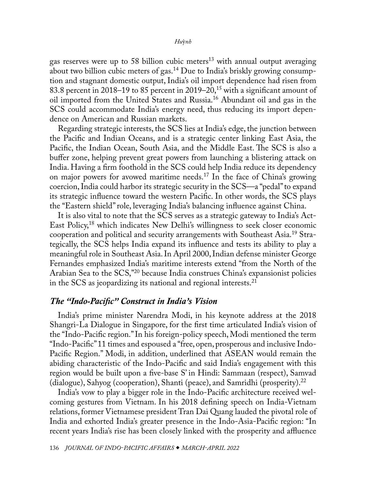<span id="page-3-0"></span>gas reserves were up to 58 billion cubic meters<sup>13</sup> with annual output averaging about two billion cubic meters of gas.<sup>[14](#page-13-0)</sup> Due to India's briskly growing consumption and stagnant domestic output, India's oil import dependence had risen from 83.8 percent in 2018–19 to 85 percent in 2019–20,<sup>15</sup> with a significant amount of oil imported from the United States and Russia[.16](#page-13-0) Abundant oil and gas in the SCS could accommodate India's energy need, thus reducing its import dependence on American and Russian markets.

Regarding strategic interests, the SCS lies at India's edge, the junction between the Pacific and Indian Oceans, and is a strategic center linking East Asia, the Pacific, the Indian Ocean, South Asia, and the Middle East. The SCS is also a buffer zone, helping prevent great powers from launching a blistering attack on India. Having a firm foothold in the SCS could help India reduce its dependency on major powers for avowed maritime needs.<sup>17</sup> In the face of China's growing coercion, India could harbor its strategic security in the SCS—a "pedal" to expand its strategic influence toward the western Pacific. In other words, the SCS plays the "Eastern shield" role, leveraging India's balancing influence against China.

It is also vital to note that the SCS serves as a strategic gateway to India's Act-East Policy,[18](#page-13-0) which indicates New Delhi's willingness to seek closer economic cooperation and political and security arrangements with Southeast Asia[.19](#page-13-0) Strategically, the SCS helps India expand its influence and tests its ability to play a meaningful role in Southeast Asia. In April 2000, Indian defense minister George Fernandes emphasized India's maritime interests extend "from the North of the Arabian Sea to the SCS,"[20](#page-13-0) because India construes China's expansionist policies in the SCS as jeopardizing its national and regional interests[.21](#page-13-0)

# *The "Indo-Pacific" Construct in India's Vision*

India's prime minister Narendra Modi, in his keynote address at the 2018 Shangri-La Dialogue in Singapore, for the first time articulated India's vision of the "Indo-Pacific region." In his foreign-policy speech, Modi mentioned the term "Indo-Pacific" 11 times and espoused a "free, open, prosperous and inclusive Indo-Pacific Region." Modi, in addition, underlined that ASEAN would remain the abiding characteristic of the Indo-Pacific and said India's engagement with this region would be built upon a five-base S' in Hindi: Sammaan (respect), Samvad (dialogue), Sahyog (cooperation), Shanti (peace), and Samridhi (prosperity).[22](#page-13-0)

India's vow to play a bigger role in the Indo-Pacific architecture received welcoming gestures from Vietnam. In his 2018 defining speech on India-Vietnam relations, former Vietnamese president Tran Dai Quang lauded the pivotal role of India and exhorted India's greater presence in the Indo-Asia-Pacific region: "In recent years India's rise has been closely linked with the prosperity and affluence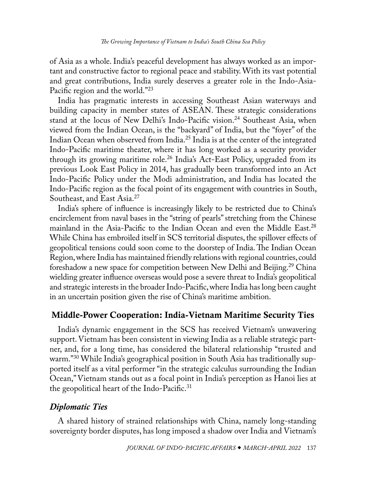<span id="page-4-0"></span>of Asia as a whole. India's peaceful development has always worked as an important and constructive factor to regional peace and stability. With its vast potential and great contributions, India surely deserves a greater role in the Indo-Asia-Pacific region and the world."[23](#page-13-0)

India has pragmatic interests in accessing Southeast Asian waterways and building capacity in member states of ASEAN. These strategic considerations stand at the locus of New Delhi's Indo-Pacific vision.<sup>24</sup> Southeast Asia, when viewed from the Indian Ocean, is the "backyard" of India, but the "foyer" of the Indian Ocean when observed from India.[25](#page-13-0) India is at the center of the integrated Indo-Pacific maritime theater, where it has long worked as a security provider through its growing maritime role[.26](#page-13-0) India's Act-East Policy, upgraded from its previous Look East Policy in 2014, has gradually been transformed into an Act Indo-Pacific Policy under the Modi administration, and India has located the Indo-Pacific region as the focal point of its engagement with countries in South, Southeast, and East Asia.<sup>[27](#page-14-0)</sup>

India's sphere of influence is increasingly likely to be restricted due to China's encirclement from naval bases in the "string of pearls" stretching from the Chinese mainland in the Asia-Pacific to the Indian Ocean and even the Middle East.<sup>28</sup> While China has embroiled itself in SCS territorial disputes, the spillover effects of geopolitical tensions could soon come to the doorstep of India. The Indian Ocean Region, where India has maintained friendly relations with regional countries, could foreshadow a new space for competition between New Delhi and Beijing.[29](#page-14-0) China wielding greater influence overseas would pose a severe threat to India's geopolitical and strategic interests in the broader Indo-Pacific, where India has long been caught in an uncertain position given the rise of China's maritime ambition.

# Middle-Power Cooperation: India-Vietnam Maritime Security Ties

India's dynamic engagement in the SCS has received Vietnam's unwavering support. Vietnam has been consistent in viewing India as a reliable strategic partner, and, for a long time, has considered the bilateral relationship "trusted and warm."[30](#page-14-0) While India's geographical position in South Asia has traditionally supported itself as a vital performer "in the strategic calculus surrounding the Indian Ocean," Vietnam stands out as a focal point in India's perception as Hanoi lies at the geopolitical heart of the Indo-Pacific.[31](#page-14-0)

# *Diplomatic Ties*

A shared history of strained relationships with China, namely long-standing sovereignty border disputes, has long imposed a shadow over India and Vietnam's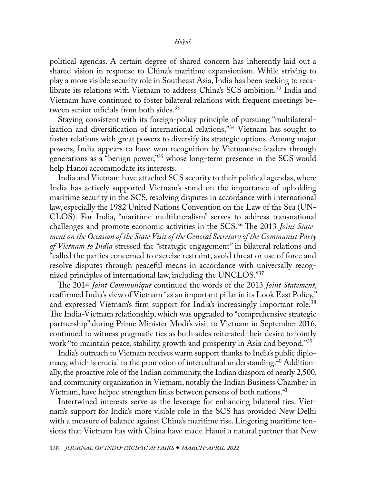<span id="page-5-0"></span>political agendas. A certain degree of shared concern has inherently laid out a shared vision in response to China's maritime expansionism. While striving to play a more visible security role in Southeast Asia, India has been seeking to reca-librate its relations with Vietnam to address China's SCS ambition.<sup>[32](#page-14-0)</sup> India and Vietnam have continued to foster bilateral relations with frequent meetings between senior officials from both sides.<sup>33</sup>

Staying consistent with its foreign-policy principle of pursuing "multilateralization and diversification of international relations,"[34](#page-14-0) Vietnam has sought to foster relations with great powers to diversify its strategic options. Among major powers, India appears to have won recognition by Vietnamese leaders through generations as a "benign power,"[35](#page-14-0) whose long-term presence in the SCS would help Hanoi accommodate its interests.

India and Vietnam have attached SCS security to their political agendas, where India has actively supported Vietnam's stand on the importance of upholding maritime security in the SCS, resolving disputes in accordance with international law, especially the 1982 United Nations Convention on the Law of the Sea (UN-CLOS). For India, "maritime multilateralism" serves to address transnational challenges and promote economic activities in the SCS.[36](#page-14-0) The 2013 *Joint Statement on the Occasion of the State Visit of the General Secretary of the Communist Party of Vietnam to India* stressed the "strategic engagement" in bilateral relations and "called the parties concerned to exercise restraint, avoid threat or use of force and resolve disputes through peaceful means in accordance with universally recognized principles of international law, including the UNCLOS."[37](#page-14-0)

The 2014 *Joint Communiqué* continued the words of the 2013 *Joint Statement*, reaffirmed India's view of Vietnam "as an important pillar in its Look East Policy," and expressed Vietnam's firm support for India's increasingly important role.<sup>38</sup> The India-Vietnam relationship, which was upgraded to "comprehensive strategic partnership" during Prime Minister Modi's visit to Vietnam in September 2016, continued to witness pragmatic ties as both sides reiterated their desire to jointly work "to maintain peace, stability, growth and prosperity in Asia and beyond."[39](#page-14-0)

India's outreach to Vietnam receives warm support thanks to India's public diplomacy, which is crucial to the promotion of intercultural understanding.<sup>40</sup> Additionally, the proactive role of the Indian community, the Indian diaspora of nearly 2,500, and community organization in Vietnam, notably the Indian Business Chamber in Vietnam, have helped strengthen links between persons of both nations.<sup>[41](#page-14-0)</sup>

Intertwined interests serve as the leverage for enhancing bilateral ties. Vietnam's support for India's more visible role in the SCS has provided New Delhi with a measure of balance against China's maritime rise. Lingering maritime tensions that Vietnam has with China have made Hanoi a natural partner that New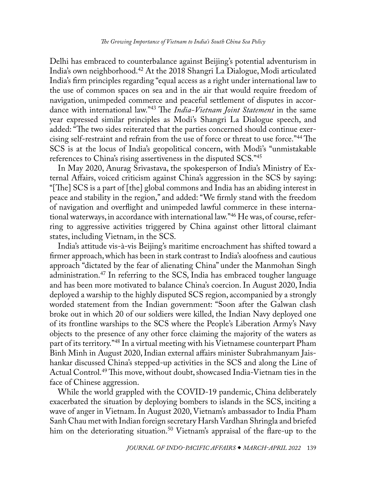<span id="page-6-0"></span>Delhi has embraced to counterbalance against Beijing's potential adventurism in India's own neighborhood[.42](#page-14-0) At the 2018 Shangri La Dialogue, Modi articulated India's firm principles regarding "equal access as a right under international law to the use of common spaces on sea and in the air that would require freedom of navigation, unimpeded commerce and peaceful settlement of disputes in accordance with international law."[43](#page-14-0) The *India-Vietnam Joint Statement* in the same year expressed similar principles as Modi's Shangri La Dialogue speech, and added: "The two sides reiterated that the parties concerned should continue exercising self-restraint and refrain from the use of force or threat to use force."[44](#page-14-0) The SCS is at the locus of India's geopolitical concern, with Modi's "unmistakable references to China's rising assertiveness in the disputed SCS.["45](#page-14-0)

In May 2020, Anurag Srivastava, the spokesperson of India's Ministry of External Affairs, voiced criticism against China's aggression in the SCS by saying: "[The] SCS is a part of [the] global commons and India has an abiding interest in peace and stability in the region," and added: "We firmly stand with the freedom of navigation and overflight and unimpeded lawful commerce in these international waterways, in accordance with international law."[46](#page-14-0) He was, of course, referring to aggressive activities triggered by China against other littoral claimant states, including Vietnam, in the SCS.

India's attitude vis-à-vis Beijing's maritime encroachment has shifted toward a firmer approach, which has been in stark contrast to India's aloofness and cautious approach "dictated by the fear of alienating China" under the Manmohan Singh administration.<sup>[47](#page-14-0)</sup> In referring to the SCS, India has embraced tougher language and has been more motivated to balance China's coercion. In August 2020, India deployed a warship to the highly disputed SCS region, accompanied by a strongly worded statement from the Indian government: "Soon after the Galwan clash broke out in which 20 of our soldiers were killed, the Indian Navy deployed one of its frontline warships to the SCS where the People's Liberation Army's Navy objects to the presence of any other force claiming the majority of the waters as part of its territory.["48](#page-15-0) In a virtual meeting with his Vietnamese counterpart Pham Binh Minh in August 2020, Indian external affairs minister Subrahmanyam Jaishankar discussed China's stepped-up activities in the SCS and along the Line of Actual Control.[49](#page-15-0) This move, without doubt, showcased India-Vietnam ties in the face of Chinese aggression.

While the world grappled with the COVID-19 pandemic, China deliberately exacerbated the situation by deploying bombers to islands in the SCS, inciting a wave of anger in Vietnam. In August 2020, Vietnam's ambassador to India Pham Sanh Chau met with Indian foreign secretary Harsh Vardhan Shringla and briefed him on the deteriorating situation.<sup>[50](#page-15-0)</sup> Vietnam's appraisal of the flare-up to the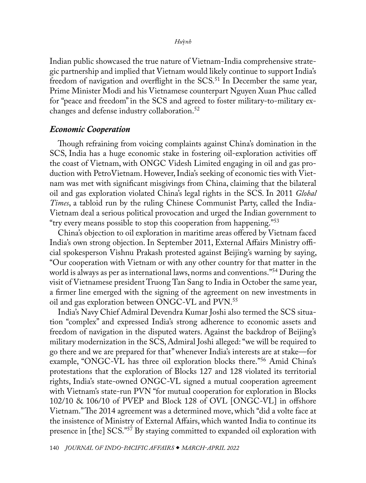<span id="page-7-0"></span>Indian public showcased the true nature of Vietnam-India comprehensive strategic partnership and implied that Vietnam would likely continue to support India's freedom of navigation and overflight in the SCS.<sup>[51](#page-15-0)</sup> In December the same year, Prime Minister Modi and his Vietnamese counterpart Nguyen Xuan Phuc called for "peace and freedom" in the SCS and agreed to foster military-to-military exchanges and defense industry collaboration.[52](#page-15-0)

### *Economic Cooperation*

Though refraining from voicing complaints against China's domination in the SCS, India has a huge economic stake in fostering oil-exploration activities off the coast of Vietnam, with ONGC Videsh Limited engaging in oil and gas production with PetroVietnam. However, India's seeking of economic ties with Vietnam was met with significant misgivings from China, claiming that the bilateral oil and gas exploration violated China's legal rights in the SCS. In 2011 *Global Times*, a tabloid run by the ruling Chinese Communist Party, called the India-Vietnam deal a serious political provocation and urged the Indian government to "try every means possible to stop this cooperation from happening."<sup>53</sup>

China's objection to oil exploration in maritime areas offered by Vietnam faced India's own strong objection. In September 2011, External Affairs Ministry official spokesperson Vishnu Prakash protested against Beijing's warning by saying, "Our cooperation with Vietnam or with any other country for that matter in the world is always as per as international laws, norms and conventions."[54](#page-15-0) During the visit of Vietnamese president Truong Tan Sang to India in October the same year, a firmer line emerged with the signing of the agreement on new investments in oil and gas exploration between ONGC-VL and PVN[.55](#page-15-0)

India's Navy Chief Admiral Devendra Kumar Joshi also termed the SCS situation "complex" and expressed India's strong adherence to economic assets and freedom of navigation in the disputed waters. Against the backdrop of Beijing's military modernization in the SCS, Admiral Joshi alleged: "we will be required to go there and we are prepared for that" whenever India's interests are at stake—for example, "ONGC-VL has three oil exploration blocks there."[56](#page-15-0) Amid China's protestations that the exploration of Blocks 127 and 128 violated its territorial rights, India's state-owned ONGC-VL signed a mutual cooperation agreement with Vietnam's state-run PVN "for mutual cooperation for exploration in Blocks 102/10 & 106/10 of PVEP and Block 128 of OVL [ONGC-VL] in offshore Vietnam." The 2014 agreement was a determined move, which "did a volte face at the insistence of Ministry of External Affairs, which wanted India to continue its presence in [the] SCS."<sup>[57](#page-15-0)</sup> By staying committed to expanded oil exploration with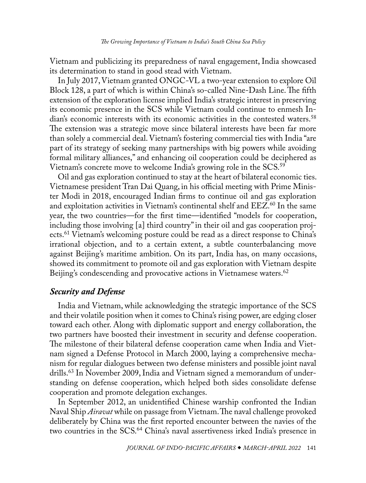<span id="page-8-0"></span>Vietnam and publicizing its preparedness of naval engagement, India showcased its determination to stand in good stead with Vietnam.

In July 2017, Vietnam granted ONGC-VL a two-year extension to explore Oil Block 128, a part of which is within China's so-called Nine-Dash Line. The fifth extension of the exploration license implied India's strategic interest in preserving its economic presence in the SCS while Vietnam could continue to enmesh In-dian's economic interests with its economic activities in the contested waters.<sup>[58](#page-15-0)</sup> The extension was a strategic move since bilateral interests have been far more than solely a commercial deal. Vietnam's fostering commercial ties with India "are part of its strategy of seeking many partnerships with big powers while avoiding formal military alliances," and enhancing oil cooperation could be deciphered as Vietnam's concrete move to welcome India's growing role in the SCS.<sup>[59](#page-15-0)</sup>

Oil and gas exploration continued to stay at the heart of bilateral economic ties. Vietnamese president Tran Dai Quang, in his official meeting with Prime Minister Modi in 2018, encouraged Indian firms to continue oil and gas exploration and exploitation activities in Vietnam's continental shelf and EEZ.<sup>60</sup> In the same year, the two countries—for the first time—identified "models for cooperation, including those involving [a] third country" in their oil and gas cooperation projects.<sup>61</sup> Vietnam's welcoming posture could be read as a direct response to China's irrational objection, and to a certain extent, a subtle counterbalancing move against Beijing's maritime ambition. On its part, India has, on many occasions, showed its commitment to promote oil and gas exploration with Vietnam despite Beijing's condescending and provocative actions in Vietnamese waters.<sup>[62](#page-15-0)</sup>

## *Security and Defense*

India and Vietnam, while acknowledging the strategic importance of the SCS and their volatile position when it comes to China's rising power, are edging closer toward each other. Along with diplomatic support and energy collaboration, the two partners have boosted their investment in security and defense cooperation. The milestone of their bilateral defense cooperation came when India and Vietnam signed a Defense Protocol in March 2000, laying a comprehensive mechanism for regular dialogues between two defense ministers and possible joint naval drills[.63](#page-15-0) In November 2009, India and Vietnam signed a memorandum of understanding on defense cooperation, which helped both sides consolidate defense cooperation and promote delegation exchanges.

In September 2012, an unidentified Chinese warship confronted the Indian Naval Ship *Airavat* while on passage from Vietnam. The naval challenge provoked deliberately by China was the first reported encounter between the navies of the two countries in the SCS.<sup>64</sup> China's naval assertiveness irked India's presence in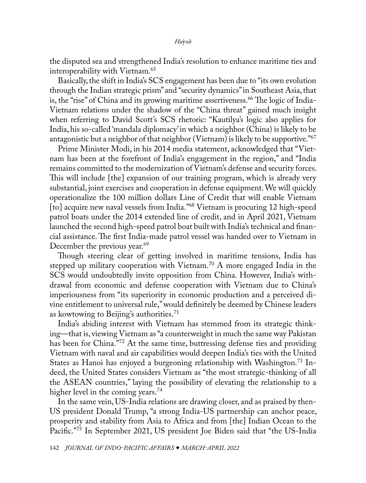<span id="page-9-0"></span>the disputed sea and strengthened India's resolution to enhance maritime ties and interoperability with Vietnam.[65](#page-15-0)

Basically, the shift in India's SCS engagement has been due to "its own evolution through the Indian strategic prism" and "security dynamics" in Southeast Asia, that is, the "rise" of China and its growing maritime assertiveness.<sup>66</sup> The logic of India-Vietnam relations under the shadow of the "China threat" gained much insight when referring to David Scott's SCS rhetoric: "Kautilya's logic also applies for India, his so-called 'mandala diplomacy' in which a neighbor (China) is likely to be antagonistic but a neighbor of that neighbor (Vietnam) is likely to be supportive."<sup>67</sup>

Prime Minister Modi, in his 2014 media statement, acknowledged that "Vietnam has been at the forefront of India's engagement in the region," and "India remains committed to the modernization of Vietnam's defense and security forces. This will include [the] expansion of our training program, which is already very substantial, joint exercises and cooperation in defense equipment. We will quickly operationalize the 100 million dollars Line of Credit that will enable Vietnam [to] acquire new naval vessels from India."<sup>68</sup> Vietnam is procuring 12 high-speed patrol boats under the 2014 extended line of credit, and in April 2021, Vietnam launched the second high-speed patrol boat built with India's technical and financial assistance. The first India-made patrol vessel was handed over to Vietnam in December the previous year.<sup>[69](#page-16-0)</sup>

Though steering clear of getting involved in maritime tensions, India has stepped up military cooperation with Vietnam.<sup>70</sup> A more engaged India in the SCS would undoubtedly invite opposition from China. However, India's withdrawal from economic and defense cooperation with Vietnam due to China's imperiousness from "its superiority in economic production and a perceived divine entitlement to universal rule," would definitely be deemed by Chinese leaders as kowtowing to Beijing's authorities.<sup>71</sup>

India's abiding interest with Vietnam has stemmed from its strategic thinking—that is, viewing Vietnam as "a counterweight in much the same way Pakistan has been for China."<sup>72</sup> At the same time, buttressing defense ties and providing Vietnam with naval and air capabilities would deepen India's ties with the United States as Hanoi has enjoyed a burgeoning relationship with Washington.<sup>[73](#page-16-0)</sup> Indeed, the United States considers Vietnam as "the most strategic-thinking of all the ASEAN countries," laying the possibility of elevating the relationship to a higher level in the coming years.<sup>[74](#page-16-0)</sup>

In the same vein, US-India relations are drawing closer, and as praised by then-US president Donald Trump, "a strong India-US partnership can anchor peace, prosperity and stability from Asia to Africa and from [the] Indian Ocean to the Pacific.["75](#page-16-0) In September 2021, US president Joe Biden said that "the US-India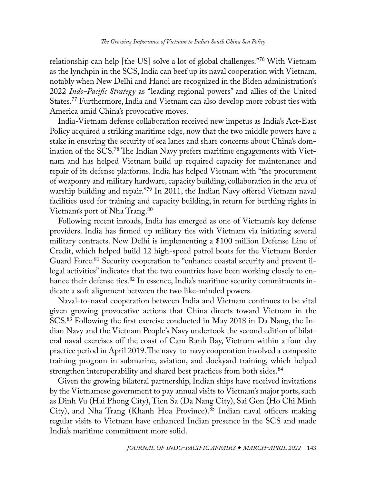<span id="page-10-0"></span>relationship can help [the US] solve a lot of global challenges.["76](#page-16-0) With Vietnam as the lynchpin in the SCS, India can beef up its naval cooperation with Vietnam, notably when New Delhi and Hanoi are recognized in the Biden administration's 2022 *Indo-Pacific Strategy* as "leading regional powers" and allies of the United States.[77](#page-16-0) Furthermore, India and Vietnam can also develop more robust ties with America amid China's provocative moves.

India-Vietnam defense collaboration received new impetus as India's Act-East Policy acquired a striking maritime edge, now that the two middle powers have a stake in ensuring the security of sea lanes and share concerns about China's domination of the SCS[.78](#page-16-0) The Indian Navy prefers maritime engagements with Vietnam and has helped Vietnam build up required capacity for maintenance and repair of its defense platforms. India has helped Vietnam with "the procurement of weaponry and military hardware, capacity building, collaboration in the area of warship building and repair."[79](#page-16-0) In 2011, the Indian Navy offered Vietnam naval facilities used for training and capacity building, in return for berthing rights in Vietnam's port of Nha Trang.<sup>[80](#page-16-0)</sup>

Following recent inroads, India has emerged as one of Vietnam's key defense providers. India has firmed up military ties with Vietnam via initiating several military contracts. New Delhi is implementing a \$100 million Defense Line of Credit, which helped build 12 high-speed patrol boats for the Vietnam Border Guard Force.<sup>81</sup> Security cooperation to "enhance coastal security and prevent illegal activities" indicates that the two countries have been working closely to enhance their defense ties.<sup>82</sup> In essence, India's maritime security commitments indicate a soft alignment between the two like-minded powers.

Naval-to-naval cooperation between India and Vietnam continues to be vital given growing provocative actions that China directs toward Vietnam in the SCS.<sup>83</sup> Following the first exercise conducted in May 2018 in Da Nang, the Indian Navy and the Vietnam People's Navy undertook the second edition of bilateral naval exercises off the coast of Cam Ranh Bay, Vietnam within a four-day practice period in April 2019. The navy-to-navy cooperation involved a composite training program in submarine, aviation, and dockyard training, which helped strengthen interoperability and shared best practices from both sides.<sup>84</sup>

Given the growing bilateral partnership, Indian ships have received invitations by the Vietnamese government to pay annual visits to Vietnam's major ports, such as Dinh Vu (Hai Phong City), Tien Sa (Da Nang City), Sai Gon (Ho Chi Minh City), and Nha Trang (Khanh Hoa Province).<sup>85</sup> Indian naval officers making regular visits to Vietnam have enhanced Indian presence in the SCS and made India's maritime commitment more solid.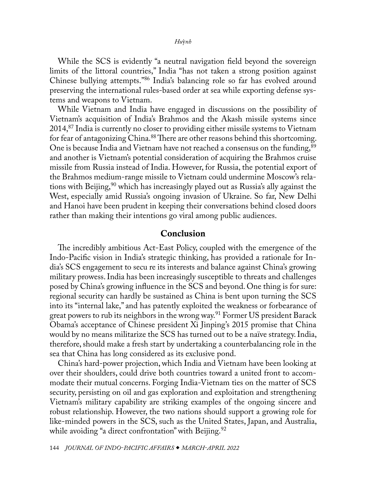<span id="page-11-0"></span>While the SCS is evidently "a neutral navigation field beyond the sovereign limits of the littoral countries," India "has not taken a strong position against Chinese bullying attempts."[86](#page-16-0) India's balancing role so far has evolved around preserving the international rules-based order at sea while exporting defense systems and weapons to Vietnam.

While Vietnam and India have engaged in discussions on the possibility of Vietnam's acquisition of India's Brahmos and the Akash missile systems since 2014,[87](#page-16-0) India is currently no closer to providing either missile systems to Vietnam for fear of antagonizing China.<sup>88</sup> There are other reasons behind this shortcoming. One is because India and Vietnam have not reached a consensus on the funding,<sup>89</sup> and another is Vietnam's potential consideration of acquiring the Brahmos cruise missile from Russia instead of India. However, for Russia, the potential export of the Brahmos medium-range missile to Vietnam could undermine Moscow's relations with Beijing,<sup>90</sup> which has increasingly played out as Russia's ally against the West, especially amid Russia's ongoing invasion of Ukraine. So far, New Delhi and Hanoi have been prudent in keeping their conversations behind closed doors rather than making their intentions go viral among public audiences.

## Conclusion

The incredibly ambitious Act-East Policy, coupled with the emergence of the Indo-Pacific vision in India's strategic thinking, has provided a rationale for India's SCS engagement to secu re its interests and balance against China's growing military prowess. India has been increasingly susceptible to threats and challenges posed by China's growing influence in the SCS and beyond. One thing is for sure: regional security can hardly be sustained as China is bent upon turning the SCS into its "internal lake," and has patently exploited the weakness or forbearance of great powers to rub its neighbors in the wrong way.<sup>[91](#page-16-0)</sup> Former US president Barack Obama's acceptance of Chinese president Xi Jinping's 2015 promise that China would by no means militarize the SCS has turned out to be a naïve strategy. India, therefore, should make a fresh start by undertaking a counterbalancing role in the sea that China has long considered as its exclusive pond.

China's hard-power projection, which India and Vietnam have been looking at over their shoulders, could drive both countries toward a united front to accommodate their mutual concerns. Forging India-Vietnam ties on the matter of SCS security, persisting on oil and gas exploration and exploitation and strengthening Vietnam's military capability are striking examples of the ongoing sincere and robust relationship. However, the two nations should support a growing role for like-minded powers in the SCS, such as the United States, Japan, and Australia, while avoiding "a direct confrontation" with Beijing.<sup>[92](#page-16-0)</sup>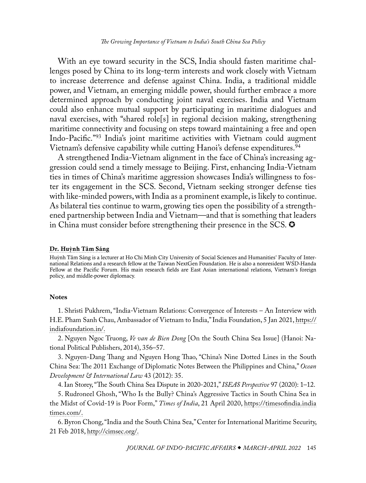<span id="page-12-0"></span>With an eye toward security in the SCS, India should fasten maritime challenges posed by China to its long-term interests and work closely with Vietnam to increase deterrence and defense against China. India, a traditional middle power, and Vietnam, an emerging middle power, should further embrace a more determined approach by conducting joint naval exercises. India and Vietnam could also enhance mutual support by participating in maritime dialogues and naval exercises, with "shared role[s] in regional decision making, strengthening maritime connectivity and focusing on steps toward maintaining a free and open Indo-Pacific."[93](#page-17-0) India's joint maritime activities with Vietnam could augment Vietnam's defensive capability while cutting Hanoi's defense expenditures.<sup>[94](#page-17-0)</sup>

A strengthened India-Vietnam alignment in the face of China's increasing aggression could send a timely message to Beijing. First, enhancing India-Vietnam ties in times of China's maritime aggression showcases India's willingness to foster its engagement in the SCS. Second, Vietnam seeking stronger defense ties with like-minded powers, with India as a prominent example, is likely to continue. As bilateral ties continue to warm, growing ties open the possibility of a strengthened partnership between India and Vietnam—and that is something that leaders in China must consider before strengthening their presence in the SCS.

#### Dr. Hu**ỳ**[nh Tâm Sáng](#page-0-0)

Huỳnh Tâm Sáng is a lecturer at Ho Chi Minh City University of Social Sciences and Humanities' Faculty of International Relations and a research fellow at the Taiwan NextGen Foundation. He is also a nonresident WSD-Handa Fellow at the Pacific Forum. His main research fields are East Asian international relations, Vietnam's foreign policy, and middle-power diplomacy.

#### **Notes**

[1](#page-0-1). Shristi Pukhrem, "India-Vietnam Relations: Convergence of Interests – An Interview with H.E. Pham Sanh Chau, Ambassador of Vietnam to India," India Foundation, 5 Jan 2021, [https://](https://indiafoundation.in/articles-and-commentaries/india-vietnam-relations-convergence-of-interests-an-interview-with-h-e-pham-sanh-chau-ambassador-of-vietnam-to-india/) [indiafoundation.in/](https://indiafoundation.in/articles-and-commentaries/india-vietnam-relations-convergence-of-interests-an-interview-with-h-e-pham-sanh-chau-ambassador-of-vietnam-to-india/).

[2](#page-1-0). Nguyen Ngoc Truong, *Ve van de Bien Dong* [On the South China Sea Issue] (Hanoi: National Political Publishers, 2014), 356–57.

[3](#page-1-0). Nguyen-Dang Thang and Nguyen Hong Thao, "China's Nine Dotted Lines in the South China Sea: The 2011 Exchange of Diplomatic Notes Between the Philippines and China," *Ocean Development & International Law* 43 (2012): 35.

[4.](#page-1-0) Ian Storey, "The South China Sea Dispute in 2020-2021," *ISEAS Perspective* 97 (2020): 1–12.

[5](#page-1-0). Rudroneel Ghosh, "Who Is the Bully? China's Aggressive Tactics in South China Sea in the Midst of Covid-19 is Poor Form," *Times of India*, 21 April 2020, [https://timesofindia.india](https://timesofindia.indiatimes.com/blogs/talkingturkey/who-is-the-bully-chinas-aggressive-tactics-in-south-china-sea-in-the-midst-of-covid-19-is-poor-form/) [times.com/.](https://timesofindia.indiatimes.com/blogs/talkingturkey/who-is-the-bully-chinas-aggressive-tactics-in-south-china-sea-in-the-midst-of-covid-19-is-poor-form/)

[6](#page-2-0). Byron Chong, "India and the South China Sea," Center for International Maritime Security, 21 Feb 2018, [http://cimsec.org/.](http://cimsec.org/india-south-china-sea/35520)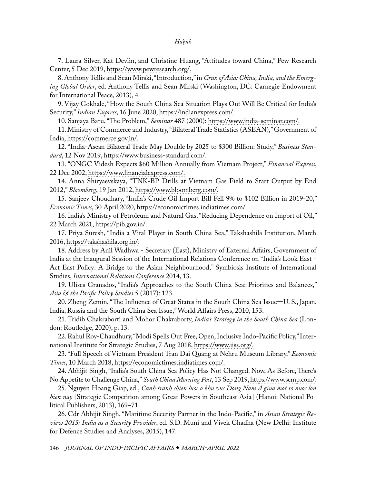<span id="page-13-0"></span>[7](#page-2-0). Laura Silver, Kat Devlin, and Christine Huang, "Attitudes toward China," Pew Research Center, 5 Dec 2019, [https://www.pewresearch.org/](https://www.pewresearch.org/global/2019/12/05/attitudes-toward-china-2019/).

[8](#page-2-0). Anthony Tellis and Sean Mirski, "Introduction," in *Crux of Asia: China, India, and the Emerging Global Order*, ed. Anthony Tellis and Sean Mirski (Washington, DC: Carnegie Endowment for International Peace, 2013), 4.

[9](#page-2-0). Vijay Gokhale, "How the South China Sea Situation Plays Out Will Be Critical for India's Security," *Indian Express*, 16 June 2020, [https://indianexpress.com/](https://indianexpress.com/article/opinion/columns/south-china-sea-dispute-asean-countries-relations-vijay-gokhale-6460680/).

[10](#page-2-0). Sanjaya Baru, "The Problem," *Seminar* 487 (2000): [https://www.india-seminar.com/.](https://www.india-seminar.com/2000/487/487%20problem.htm)

[11](#page-2-0). Ministry of Commerce and Industry, "Bilateral Trade Statistics (ASEAN)," Government of India, [https://commerce.gov.in/.](https://commerce.gov.in/about-us/divisions/foreign-trade-territorial-division/foreign-trade-asean/)

[12](#page-2-0). "India-Asean Bilateral Trade May Double by 2025 to \$300 Billion: Study," *Business Standard*, 12 Nov 2019, [https://www.business-standard.com/.](https://www.business-standard.com/article/economy-policy/india-asean-bilateral-trade-may-double-by-2025-to-300-billion-study-119111200547_1.html)

[13](#page-3-0). "ONGC Videsh Expects \$60 Million Annually from Vietnam Project," *Financial Express*, 22 Dec 2002, [https://www.financialexpress.com/.](https://www.financialexpress.com/archive/ongc-videsh-expects-60-million-annually-from-vietnam-project/69208/)

[14](#page-3-0). Anna Shiryaevskaya, "TNK-BP Drills at Vietnam Gas Field to Start Output by End 2012," *Bloomberg*, 19 Jan 2012, [https://www.bloomberg.com/.](https://www.bloomberg.com/news/articles/2012-01-19/tnk-bp-drills-at-vietnam-gas-field-to-start-output-by-end-2012)

[15](#page-3-0). Sanjeev Choudhary, "India's Crude Oil Import Bill Fell 9% to \$102 Billion in 2019-20," *Economic Times*, 30 April 2020, [https://economictimes.indiatimes.com/](https://economictimes.indiatimes.com/news/economy/foreign-trade/indias-crude-oil-import-bill-fell-9-to-102-billion-in-2019-20/articleshow/75473757.cms?from=mdr).

[16](#page-3-0). India's Ministry of Petroleum and Natural Gas, "Reducing Dependence on Import of Oil," 22 March 2021, [https://pib.gov.in/.](https://pib.gov.in/PressReleaseIframePage.aspx?PRID=1706564)

[17](#page-3-0). Priya Suresh, "India a Vital Player in South China Sea," Takshashila Institution, March 2016, [https://takshashila.org.in/](https://takshashila.org.in/india-a-vital-player-in-south-china-sea/).

[18](#page-3-0). Address by Anil Wadhwa - Secretary (East), Ministry of External Affairs, Government of India at the Inaugural Session of the International Relations Conference on "India's Look East - Act East Policy: A Bridge to the Asian Neighbourhood," Symbiosis Institute of International Studies, *International Relations Conference* 2014, 13.

[19](#page-3-0). Ulises Granados, "India's Approaches to the South China Sea: Priorities and Balances," *Asia & the Pacific Policy Studies* 5 (2017): 123.

[20](#page-3-0). Zheng Zemin, "The Influence of Great States in the South China Sea Issue—U. S., Japan, India, Russia and the South China Sea Issue," World Affairs Press, 2010, 153.

[21](#page-3-0). Tridib Chakraborti and Mohor Chakraborty, *India's Strategy in the South China Sea* (London: Routledge, 2020), p. 13.

[22](#page-3-0). Rahul Roy-Chaudhury, "Modi Spells Out Free, Open, Inclusive Indo-Pacific Policy," International Institute for Strategic Studies, 7 Aug 2018, [https://www.iiss.org/.](https://www.iiss.org/blogs/analysis/2018/08/modi-free-open-inclusive)

[23](#page-4-0). "Full Speech of Vietnam President Tran Dai Quang at Nehru Museum Library," *Economic Times*, 10 March 2018, [https://economictimes.indiatimes.com/.](https://economictimes.indiatimes.com/news/politics-and-nation/full-speech-of-vietnam-president-tran-dai-quang-at-nehru-museum-library/articleshow/63212961.cms?from=mdr)

[24.](#page-4-0) Abhijit Singh, "India's South China Sea Policy Has Not Changed. Now, As Before, There's No Appetite to Challenge China," *South China Morning Post*, 13 Sep 2019, [https://www.scmp.com/](https://www.scmp.com/comment/opinion/article/3026729/indias-south-china-sea-policy-has-not-changed-now-theres-no).

[25](#page-4-0). Nguyen Hoang Giap, ed., *Canh tranh chien luoc o khu vuc Dong Nam A giua mot so nuoc lon hien nay* [Strategic Competition among Great Powers in Southeast Asia] (Hanoi: National Political Publishers, 2013), 169–71.

[26](#page-4-0). Cdr Abhijit Singh, "Maritime Security Partner in the Indo-Pacific," in *Asian Strategic Review 2015: India as a Security Provider*, ed. S.D. Muni and Vivek Chadha (New Delhi: Institute for Defence Studies and Analyses, 2015), 147.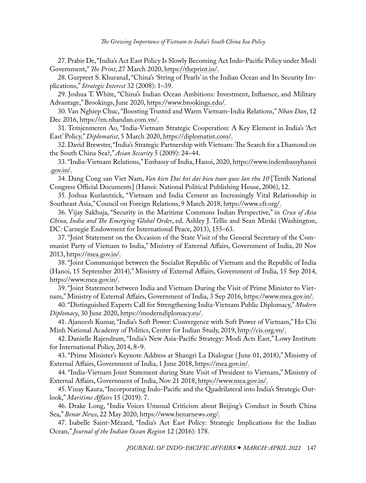<span id="page-14-0"></span>[27](#page-4-0). Prabir De, "India's Act East Policy Is Slowly Becoming Act Indo-Pacific Policy under Modi Government," *The Print*, 27 March 2020, [https://theprint.in/](https://theprint.in/pageturner/excerpt/india-act-east-policy-is-becoming-act-indo-pacific/389502/).

[28](#page-4-0). Gurpreet S. KhuranaI, "China's 'String of Pearls' in the Indian Ocean and Its Security Implications," *Strategic Interest* 32 (2008): 1–39.

[29](#page-4-0). Joshua T. White, "China's Indian Ocean Ambitions: Investment, Influence, and Military Advantage," Brookings, June 2020, [https://www.brookings.edu/.](https://www.brookings.edu/research/chinas-indian-ocean-ambitions/)

[30](#page-4-0). Van Nghiep Chuc, "Boosting Trusted and Warm Vietnam-India Relations," *Nhan Dan*, 12 Dec 2016, [https://en.nhandan.com.vn/](https://en.nhandan.com.vn/indepth/item/4859602-boosting-trusted-and-warm-vietnam-india-relations.html).

[31](#page-4-0). Temjenmeren Ao, "India-Vietnam Strategic Cooperation: A Key Element in India's 'Act East' Policy," *Diplomatist*, 5 March 2020, [https://diplomatist.com/](https://diplomatist.com/2020/03/05/india-vietnam-strategic-cooperation-a-key-element-in-indias-act-east-policy/).

[32](#page-5-0). David Brewster, "India's Strategic Partnership with Vietnam: The Search for a Diamond on the South China Sea?," *Asian Security* 5 (2009): 24–44.

[33](#page-5-0). "India-Vietnam Relations," Embassy of India, Hanoi, 2020, [https://www.indembassyhanoi](https://www.indembassyhanoi.gov.in/page/bilateral-relations/) [.gov.in/.](https://www.indembassyhanoi.gov.in/page/bilateral-relations/)

[34](#page-5-0). Dang Cong san Viet Nam, *Van kien Dai hoi dai bieu toan quoc lan thu 10* [Tenth National Congress Official Documents] (Hanoi: National Political Publishing House, 2006), 12.

[35](#page-5-0). Joshua Kurlantzick, "Vietnam and India Cement an Increasingly Vital Relationship in Southeast Asia," Council on Foreign Relations, 9 March 2018, [https://www.cfr.org/.](https://www.cfr.org/blog/vietnam-and-india-cement-increasingly-vital-relationship-southeast-asia)

[36](#page-5-0). Vijay Sakhuja, "Security in the Maritime Commons Indian Perspective," in *Crux of Asia China, India and The Emerging Global Order*, ed. Ashley J. Tellis and Sean Mirski (Washington, DC: Carnegie Endowment for International Peace, 2013), 155–63.

[37](#page-5-0). "Joint Statement on the Occasion of the State Visit of the General Secretary of the Communist Party of Vietnam to India," Ministry of External Affairs, Government of India, 20 Nov 2013, [https://mea.gov.in/](https://mea.gov.in/incoming-visit-detail.htm?22510/Joint+Statement+on+the+occasion+of+the+State+Visit+of+the+General+Secretary+of+the+Communist+Party+of+Vietnam+to+India).

[38](#page-5-0). "Joint Communiqué between the Socialist Republic of Vietnam and the Republic of India (Hanoi, 15 September 2014)," Ministry of External Affairs, Government of India, 15 Sep 2014, [https://www.mea.gov.in/.](https://www.mea.gov.in/outoging-visit-detail.htm?23997/Joint+Communiqu+between+the+Socialist+Republic+of+Vietnam+and+the+Republic+of+India+Hanoi+15+September+2014)

[39](#page-5-0). "Joint Statement between India and Vietnam During the Visit of Prime Minister to Vietnam," Ministry of External Affairs, Government of India, 3 Sep 2016, [https://www.mea.gov.in/.](https://www.mea.gov.in/bilateral-documents.htm?dtl/27362/Joint_Statement_between_India_and_Vietnam_during_the_visit_of_Prime_Minister_to_Vietnam)

[40](#page-5-0). "Distinguished Experts Call for Strengthening India-Vietnam Public Diplomacy," *Modern Diplomacy*, 30 June 2020, [https://moderndiplomacy.eu/.](https://moderndiplomacy.eu/2020/06/30/distinguished-experts-call-for-strengthening-india-vietnam-public-diplomacy/)

[41](#page-5-0). Ajaneesh Kumar, "India's Soft Power: Convergence with Soft Power of Vietnam," Ho Chi Minh National Academy of Politics, Center for Indian Study, 2019, [http://cis.org.vn/.](http://cis.org.vn/article/4303/indias-soft-power-convergence-with-soft-power-of-vietnam.html)

[42](#page-6-0). Danielle Rajendram, "India's New Asia-Pacific Strategy: Modi Acts East," Lowy Institute for International Policy, 2014, 8–9.

[43](#page-6-0). "Prime Minister's Keynote Address at Shangri La Dialogue ( June 01, 2018)," Ministry of External Affairs, Government of India, 1 June 2018, [https://mea.gov.in/.](https://mea.gov.in/Speeches-Statements.htm?dtl/29943/Prime+Ministers+Keynote+Address+at+Shangri+La+Dialogue+June+01+2018)

[44](#page-6-0). "India-Vietnam Joint Statement during State Visit of President to Vietnam," Ministry of External Affairs, Government of India, Nov 21 2018, [https://www.mea.gov.in/](https://www.mea.gov.in/bilateral-documents.htm?dtl/30615/indiavietnam+joint+statement+during+state+visit+of+president+to+vietnam).

[45](#page-6-0). Vinay Kaura, "Incorporating Indo-Pacific and the Quadrilateral into India's Strategic Outlook," *Maritime Affairs* 15 (2019): 7.

[46](#page-6-0). Drake Long, "India Voices Unusual Criticism about Beijing's Conduct in South China Sea," *Benar News*, 22 May 2020, [https://www.benarnews.org/.](https://www.benarnews.org/english/news/indonesian/India-South-China-Sea-05222020181019.html)

[47](#page-6-0). Isabelle Saint-Mézard, "India's Act East Policy: Strategic Implications for the Indian Ocean," *Journal of the Indian Ocean Region* 12 (2016): 178.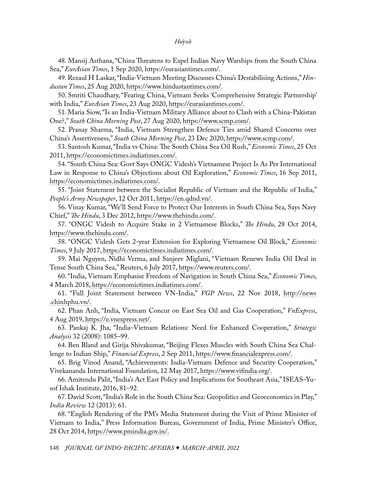<span id="page-15-0"></span>[48](#page-6-0). Mansij Asthana, "China Threatens to Expel Indian Navy Warships from the South China Sea," *EurAsian Times*, 1 Sep 2020, [https://eurasiantimes.com/.](https://eurasiantimes.com/china-threatens-to-expel-indian-navy-warships-from-the-south-china-sea/)

[49](#page-6-0). Rezaul H Laskar, "India-Vietnam Meeting Discusses China's Destabilising Actions," *Hindustan Times*, 25 Aug 2020, [https://www.hindustantimes.com/.](https://www.hindustantimes.com/india-news/india-vietnam-meeting-discusses-china-s-destabilising-actions/story-paRUZjoMdiS709T8F5LgVJ.html)

[50](#page-6-0). Smriti Chaudhary, "Fearing China, Vietnam Seeks 'Comprehensive Strategic Partnership' with India," *EurAsian Times*, 23 Aug 2020, [https://eurasiantimes.com/.](https://eurasiantimes.com/vietnam-seeks-comprehensive-strategic-partnership-with-india-after-china-deploys-nuclear-capable-bombers/)

[51](#page-7-0). Maria Siow, "Is an India-Vietnam Military Alliance about to Clash with a China-Pakistan One?," *South China Morning Post*, 27 Aug 2020, [https://www.scmp.com/](https://www.scmp.com/week-asia/politics/article/3098989/india-vietnam-military-alliance-about-clash-china-pakistan-one).

[52](#page-7-0). Pranay Sharma, "India, Vietnam Strengthen Defence Ties amid Shared Concerns over China's Assertiveness," *South China Morning Post*, 23 Dec 2020, [https://www.scmp.com/.](https://www.scmp.com/week-asia/politics/article/3115104/india-vietnam-strengthen-defence-ties-amid-shared-concerns-over)

[53](#page-7-0). Santosh Kumar, "India vs China: The South China Sea Oil Rush," *Economic Times*, 25 Oct 2011, [https://economictimes.indiatimes.com/](https://economictimes.indiatimes.com/opinion/et-commentary/india-vs-china-the-south-china-sea-oil-rush/articleshow/10480439.cms?from=mdr).

[54](#page-7-0). "South China Sea: Govt Says ONGC Videsh's Vietnamese Project Is As Per International Law in Response to China's Objections about Oil Exploration," *Economic Times*, 16 Sep 2011, [https://economictimes.indiatimes.com/.](https://economictimes.indiatimes.com/news/politics-and-nation/south-china-sea-govt-says-ongc-videshs-vietnamese-project-is-as-per-international-law-in-response-to-chinas-objections-about-oil-exploration/articleshow/9999879.cms)

[55](#page-7-0). "Joint Statement between the Socialist Republic of Vietnam and the Republic of India," *People's Army Newspaper*, 12 Oct 2011, [https://en.qdnd.vn/.](https://en.qdnd.vn/politics/news/joint-statement-between-the-socialist-republic-of-vietnam-and-the-republic-of-india-425252)

[56](#page-7-0). Vinay Kumar, "We'll Send Force to Protect Our Interests in South China Sea, Says Navy Chief," *The Hindu*, 3 Dec 2012, [https://www.thehindu.com/.](https://www.thehindu.com/news/international/We’ll-send-force-to-protect-our-interests-in-South-China-Sea-says-Navy-chief/article12433224.ece)

[57](#page-7-0). "ONGC Videsh to Acquire Stake in 2 Vietnamese Blocks," *The Hindu*, 28 Oct 2014, [https://www.thehindu.com/](https://www.thehindu.com/business/Industry/ongc-videsh-to-acquire-stake-in-2-vietnamese-blocks/article6541721.ece).

[58](#page-8-0). "ONGC Videsh Gets 2-year Extension for Exploring Vietnamese Oil Block," *Economic Times*, 9 July 2017, [https://economictimes.indiatimes.com/](https://economictimes.indiatimes.com/industry/energy/oil-gas/ongc-videsh-gets-2-year-extension-for-exploring-vietnamese-oil-block/articleshow/59512891.cms?from=mdr).

[59](#page-8-0). Mai Nguyen, Nidhi Verma, and Sanjeev Miglani, "Vietnam Renews India Oil Deal in Tense South China Sea," Reuters, 6 July 2017, [https://www.reuters.com/.](https://www.reuters.com/article/us-southchinasea-vietnam/vietnam-renews-india-oil-deal-in-tense-south-china-sea-idUSKBN19R25P)

[60](#page-8-0). "India, Vietnam Emphasise Freedom of Navigation in South China Sea," *Economic Times*, 4 March 2018, [https://economictimes.indiatimes.com/](https://economictimes.indiatimes.com/news/defence/india-vietnam-emphasise-freedom-of-navigation-in-south-china-sea/articleshow/63158850.cms).

[61](#page-8-0). "Full Joint Statement between VN-India," *VGP News*, 22 Nov 2018, [http://news](https://en.baochinhphu.vn/full-joint-statement-between-vn-india-11133760.htm) [.chinhphu.vn/.](https://en.baochinhphu.vn/full-joint-statement-between-vn-india-11133760.htm)

[62](#page-8-0). Phan Anh, "India, Vietnam Concur on East Sea Oil and Gas Cooperation," *VnExpress*, 4 Aug 2019, [https://e.vnexpress.net/](https://e.vnexpress.net/news/news/india-vietnam-concur-on-east-sea-oil-and-gas-cooperation-3962835.html).

[63](#page-8-0). Pankaj K. Jha, "India–Vietnam Relations: Need for Enhanced Cooperation," *Strategic Analysis* 32 (2008): 1085–99.

[64](#page-8-0). Ben Bland and Girija Shivakumar, "Beijing Flexes Muscles with South China Sea Challenge to Indian Ship," *Financial Express*, 2 Sep 2011, [https://www.financialexpress.com/.](https://www.financialexpress.com/archive/beijing-flexes-muscles-with-south-china-sea-challenge-to-indian-ship/840380/)

[65](#page-9-0). Brig Vinod Anand, "Achievements: India-Vietnam Defence and Security Cooperation," Vivekananda International Foundation, 12 May 2017, [https://www.vifindia.org/](https://www.vifindia.org/article/2017/may/12/achievements-india-vietnam-defence-and-security-cooperation).

[66](#page-9-0). Amitendu Palit, "India's Act East Policy and Implications for Southeast Asia," ISEAS–Yusof Ishak Institute, 2016, 81–92.

[67](#page-9-0). David Scott, "India's Role in the South China Sea: Geopolitics and Geoeconomics in Play," *India Review* 12 (2013): 61.

[68](#page-9-0). "English Rendering of the PM's Media Statement during the Visit of Prime Minister of Vietnam to India," Press Information Bureau, Government of India, Prime Minister's Office, 28 Oct 2014, [https://www.pmindia.gov.in/.](https://www.pmindia.gov.in/en/news_updates/english-rendering-of-the-pms-media-statement-during-the-visit-of-prime-minister-of-vietnam-to-india/)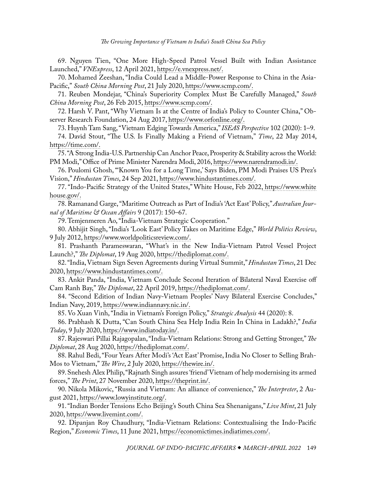<span id="page-16-0"></span>[69](#page-9-0). Nguyen Tien, "One More High-Speed Patrol Vessel Built with Indian Assistance Launched," *VNExpress*, 12 April 2021, [https://e.vnexpress.net/.](https://e.vnexpress.net/news/news/one-more-high-speed-patrol-vessel-built-with-indian-assistance-launched-4262029.html)

[70](#page-9-0). Mohamed Zeeshan, "India Could Lead a Middle-Power Response to China in the Asia-Pacific," *South China Morning Post*, 21 July 2020, [https://www.scmp.com/](https://www.scmp.com/comment/opinion/article/3093885/india-could-lead-middle-power-response-china-asia-pacific).

[71](#page-9-0). Reuben Mondejar, "China's Superiority Complex Must Be Carefully Managed," *South China Morning Post*, 26 Feb 2015, [https://www.scmp.com/.](https://www.scmp.com/comment/insight-opinion/article/1723741/chinas-superiority-complex-must-be-carefully-managed)

[72](#page-9-0). Harsh V. Pant, "Why Vietnam Is at the Centre of India's Policy to Counter China," Observer Research Foundation, 24 Aug 2017, [https://www.orfonline.org/.](https://www.orfonline.org/research/why-vietnam-centre-india-policy-counter-china/)

[73.](#page-9-0) Huynh Tam Sang, "Vietnam Edging Towards America," *ISEAS Perspective* 102 (2020): 1–9.

[74](#page-9-0). David Stout, "The U.S. Is Finally Making a Friend of Vietnam," *Time*, 22 May 2014, [https://time.com/](https://time.com/108567/us-vietnam-friendship-alliance-relationship/).

[75.](#page-9-0) "A Strong India-U.S. Partnership Can Anchor Peace, Prosperity & Stability across the World: PM Modi," Office of Prime Minister Narendra Modi, 2016, [https://www.narendramodi.in/.](https://www.narendramodi.in/prime-minister-narendra-modi-addresses-joint-meeting-of-u-s-congress-in-washington-dc-484217)

[76](#page-10-0). Poulomi Ghosh, "'Known You for a Long Time,' Says Biden, PM Modi Praises US Prez's Vision," *Hindustan Times*, 24 Sep 2021, [https://www.hindustantimes.com/.](https://www.hindustantimes.com/world-news/known-you-for-a-long-time-says-biden-pm-modi-praises-us-prez-s-vision-101632498955074.html)

[77](#page-10-0). "Indo-Pacific Strategy of the United States," White House, Feb 2022, [https://www.white](https://www.whitehouse.gov/wp-content/uploads/2022/02/U.S.-Indo-Pacific-Strategy.pdf) [house.gov/](https://www.whitehouse.gov/wp-content/uploads/2022/02/U.S.-Indo-Pacific-Strategy.pdf).

[78](#page-10-0). Ramanand Garge, "Maritime Outreach as Part of India's 'Act East' Policy," *Australian Journal of Maritime & Ocean Affairs* 9 (2017): 150–67.

[79](#page-10-0). Temjenmeren Ao, "India-Vietnam Strategic Cooperation."

[80](#page-10-0). Abhijit Singh, "India's 'Look East' Policy Takes on Maritime Edge," *World Politics Review*, 9 July 2012, [https://www.worldpoliticsreview.com/.](https://www.worldpoliticsreview.com/articles/12139/indias-look-east-policy-takes-on-maritime-edge)

[81](#page-10-0). Prashanth Parameswaran, "What's in the New India-Vietnam Patrol Vessel Project Launch?," *The Diplomat*, 19 Aug 2020, [https://thediplomat.com/.](https://thediplomat.com/2019/08/whats-in-the-new-india-vietnam-patrol-vessel-project-launch/)

[82](#page-10-0). "India, Vietnam Sign Seven Agreements during Virtual Summit," *Hindustan Times*, 21 Dec 2020, [https://www.hindustantimes.com/.](https://www.hindustantimes.com/india-news/india-vietnam-sign-seven-agreements-during-virtual-summit/story-O9TBrm7JWzAyxK4pwGz7fP.html)

[83](#page-10-0). Ankit Panda, "India, Vietnam Conclude Second Iteration of Bilateral Naval Exercise off Cam Ranh Bay," *The Diplomat*, 22 April 2019, [https://thediplomat.com/](https://thediplomat.com/2019/04/india-vietnam-conclude-second-iteration-of-bilateral-naval-exercise-off-cam-ranh-bay/).

[84](#page-10-0). "Second Edition of Indian Navy-Vietnam Peoples' Navy Bilateral Exercise Concludes," Indian Navy, 2019, [https://www.indiannavy.nic.in/.](https://www.indiannavy.nic.in/content/second-edition-indian-navy-vietnam-peoples’-navy-bilateral-exercise-concludes)

[85](#page-10-0). Vo Xuan Vinh, "India in Vietnam's Foreign Policy," *Strategic Analysis* 44 (2020): 8.

[86](#page-11-0). Prabhash K Dutta, "Can South China Sea Help India Rein In China in Ladakh?," *India Today*, 9 July 2020, [https://www.indiatoday.in/](https://www.indiatoday.in/news-analysis/story/can-south-china-sea-help-india-rein-in-china-in-ladakh-1698667-2020-07-09).

[87](#page-11-0). Rajeswari Pillai Rajagopalan, "India-Vietnam Relations: Strong and Getting Stronger," *The Diplomat*, 28 Aug 2020, [https://thediplomat.com/.](https://thediplomat.com/2020/08/india-vietnam-relations-strong-and-getting-stronger/)

[88](#page-11-0). Rahul Bedi, "Four Years After Modi's 'Act East' Promise, India No Closer to Selling Brah-Mos to Vietnam," *The Wire*, 2 July 2020, [https://thewire.in/.](https://thewire.in/security/india-vietnam-brahmos-missile)

[89](#page-11-0). Snehesh Alex Philip, "Rajnath Singh assures 'friend' Vietnam of help modernising its armed forces," *The Print*, 27 November 2020, [https://theprint.in/](https://theprint.in/defence/rajnath-singh-assures-friend-vietnam-of-help-modernising-its-armed-forces/553405/).

[90](#page-11-0). Nikola Mikovic, "Russia and Vietnam: An alliance of convenience," *The Interpreter*, 2 August 2021, [https://www.lowyinstitute.org/](https://www.lowyinstitute.org/the-interpreter/russia-and-vietnam-alliance-convenience).

[91](#page-11-0). "Indian Border Tensions Echo Beijing's South China Sea Shenanigans," *Live Mint*, 21 July 2020, [https://www.livemint.com/.](https://www.livemint.com/news/india/indian-border-tensions-echo-beijing-s-south-china-sea-shenanigans-11595317901409.html)

[92](#page-11-0). Dipanjan Roy Chaudhury, "India-Vietnam Relations: Contextualising the Indo-Pacific Region," *Economic Times*, 11 June 2021, [https://economictimes.indiatimes.com/.](https://economictimes.indiatimes.com/news/defence/india-vietnam-relations-contextualising-the-indo-pacific-region/articleshow/83427128.cms?from=mdr)